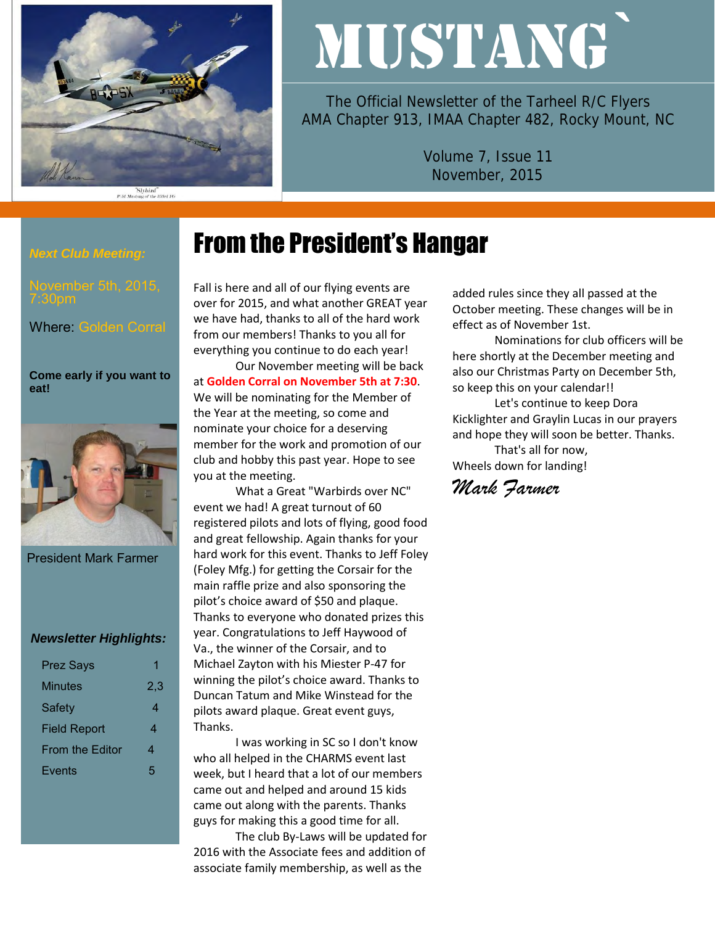

# MUSTANG`

The Official Newsletter of the Tarheel R/C Flyers AMA Chapter 913, IMAA Chapter 482, Rocky Mount, NC

> Volume 7, Issue 11 November, 2015

#### *Next Club Meeting:*

7:30pm

Where: Golden Corral

#### **Come early if you want to eat!**



President Mark Farmer

#### *Newsletter Highlights:*

| <b>Prez Says</b>    | 1   |
|---------------------|-----|
| Minutes             | 2.3 |
| Safety              | 4   |
| <b>Field Report</b> | 4   |
| From the Editor     | 4   |
| Events              | 5   |

## From the President's Hangar

Fall is here and all of our flying events are over for 2015, and what another GREAT year we have had, thanks to all of the hard work from our members! Thanks to you all for everything you continue to do each year! Our November meeting will be back

at **Golden Corral on November 5th at 7:30**. We will be nominating for the Member of the Year at the meeting, so come and nominate your choice for a deserving member for the work and promotion of our club and hobby this past year. Hope to see you at the meeting.

What a Great "Warbirds over NC" event we had! A great turnout of 60 registered pilots and lots of flying, good food and great fellowship. Again thanks for your hard work for this event. Thanks to Jeff Foley (Foley Mfg.) for getting the Corsair for the main raffle prize and also sponsoring the pilot's choice award of \$50 and plaque. Thanks to everyone who donated prizes this year. Congratulations to Jeff Haywood of Va., the winner of the Corsair, and to Michael Zayton with his Miester P-47 for winning the pilot's choice award. Thanks to Duncan Tatum and Mike Winstead for the pilots award plaque. Great event guys, Thanks.

I was working in SC so I don't know who all helped in the CHARMS event last week, but I heard that a lot of our members came out and helped and around 15 kids came out along with the parents. Thanks guys for making this a good time for all.

The club By-Laws will be updated for 2016 with the Associate fees and addition of associate family membership, as well as the

added rules since they all passed at the October meeting. These changes will be in effect as of November 1st.

Nominations for club officers will be here shortly at the December meeting and also our Christmas Party on December 5th, so keep this on your calendar!!

Let's continue to keep Dora Kicklighter and Graylin Lucas in our prayers and hope they will soon be better. Thanks.

That's all for now, Wheels down for landing!

## *Mark Farmer*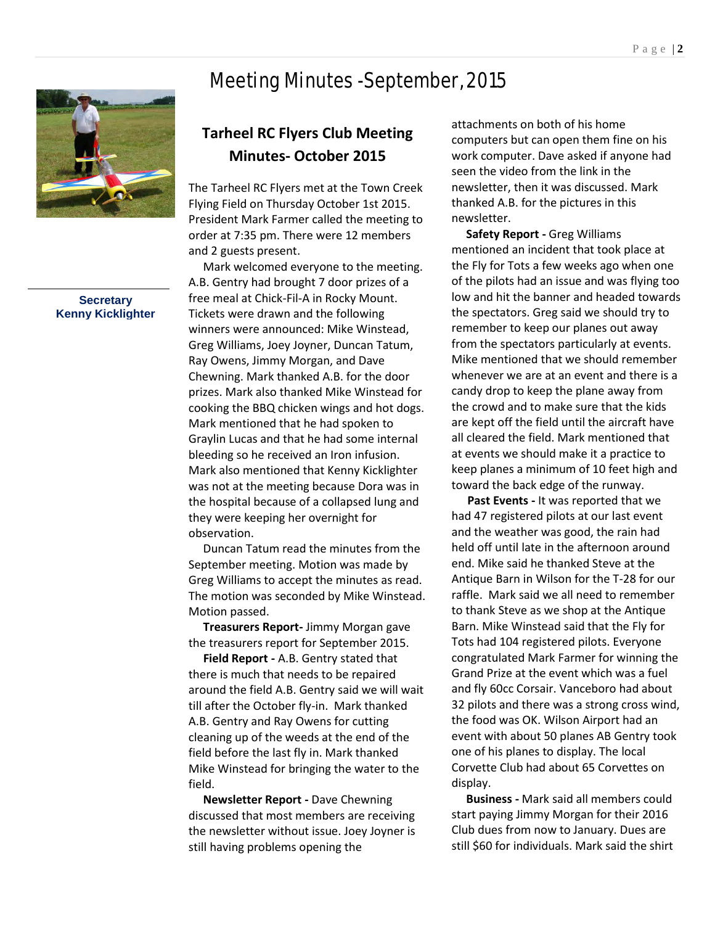## Meeting Minutes -September, 2015



#### **Secretary Kenny Kicklighter**

## **Tarheel RC Flyers Club Meeting Minutes- October 2015**

The Tarheel RC Flyers met at the Town Creek Flying Field on Thursday October 1st 2015. President Mark Farmer called the meeting to order at 7:35 pm. There were 12 members and 2 guests present.

 Mark welcomed everyone to the meeting. A.B. Gentry had brought 7 door prizes of a free meal at Chick-Fil-A in Rocky Mount. Tickets were drawn and the following winners were announced: Mike Winstead, Greg Williams, Joey Joyner, Duncan Tatum, Ray Owens, Jimmy Morgan, and Dave Chewning. Mark thanked A.B. for the door prizes. Mark also thanked Mike Winstead for cooking the BBQ chicken wings and hot dogs. Mark mentioned that he had spoken to Graylin Lucas and that he had some internal bleeding so he received an Iron infusion. Mark also mentioned that Kenny Kicklighter was not at the meeting because Dora was in the hospital because of a collapsed lung and they were keeping her overnight for observation.

 Duncan Tatum read the minutes from the September meeting. Motion was made by Greg Williams to accept the minutes as read. The motion was seconded by Mike Winstead. Motion passed.

 **Treasurers Report-** Jimmy Morgan gave the treasurers report for September 2015.

 **Field Report -** A.B. Gentry stated that there is much that needs to be repaired around the field A.B. Gentry said we will wait till after the October fly-in. Mark thanked A.B. Gentry and Ray Owens for cutting cleaning up of the weeds at the end of the field before the last fly in. Mark thanked Mike Winstead for bringing the water to the field.

 **Newsletter Report -** Dave Chewning discussed that most members are receiving the newsletter without issue. Joey Joyner is still having problems opening the

attachments on both of his home computers but can open them fine on his work computer. Dave asked if anyone had seen the video from the link in the newsletter, then it was discussed. Mark thanked A.B. for the pictures in this newsletter.

 **Safety Report -** Greg Williams mentioned an incident that took place at the Fly for Tots a few weeks ago when one of the pilots had an issue and was flying too low and hit the banner and headed towards the spectators. Greg said we should try to remember to keep our planes out away from the spectators particularly at events. Mike mentioned that we should remember whenever we are at an event and there is a candy drop to keep the plane away from the crowd and to make sure that the kids are kept off the field until the aircraft have all cleared the field. Mark mentioned that at events we should make it a practice to keep planes a minimum of 10 feet high and toward the back edge of the runway.

**Past Events -** It was reported that we had 47 registered pilots at our last event and the weather was good, the rain had held off until late in the afternoon around end. Mike said he thanked Steve at the Antique Barn in Wilson for the T-28 for our raffle. Mark said we all need to remember to thank Steve as we shop at the Antique Barn. Mike Winstead said that the Fly for Tots had 104 registered pilots. Everyone congratulated Mark Farmer for winning the Grand Prize at the event which was a fuel and fly 60cc Corsair. Vanceboro had about 32 pilots and there was a strong cross wind, the food was OK. Wilson Airport had an event with about 50 planes AB Gentry took one of his planes to display. The local Corvette Club had about 65 Corvettes on display.

 **Business -** Mark said all members could start paying Jimmy Morgan for their 2016 Club dues from now to January. Dues are still \$60 for individuals. Mark said the shirt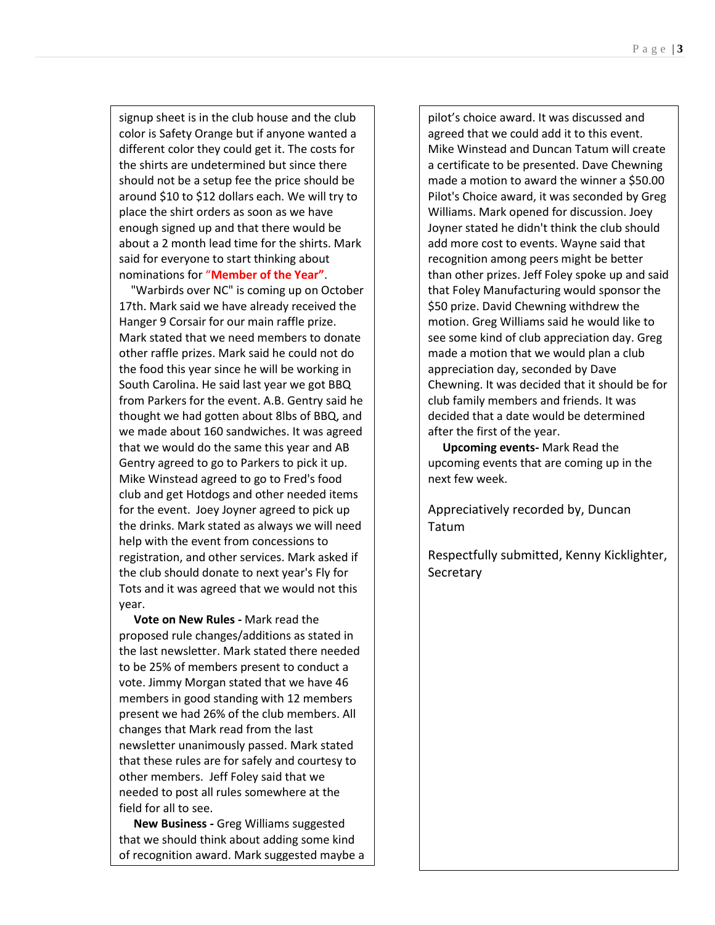signup sheet is in the club house and the club color is Safety Orange but if anyone wanted a different color they could get it. The costs for the shirts are undetermined but since there should not be a setup fee the price should be around \$10 to \$12 dollars each. We will try to place the shirt orders as soon as we have enough signed up and that there would be about a 2 month lead time for the shirts. Mark said for everyone to start thinking about nominations for "**Member of the Year"**.

 "Warbirds over NC" is coming up on October 17th. Mark said we have already received the Hanger 9 Corsair for our main raffle prize. Mark stated that we need members to donate other raffle prizes. Mark said he could not do the food this year since he will be working in South Carolina. He said last year we got BBQ from Parkers for the event. A.B. Gentry said he thought we had gotten about 8lbs of BBQ, and we made about 160 sandwiches. It was agreed that we would do the same this year and AB Gentry agreed to go to Parkers to pick it up. Mike Winstead agreed to go to Fred's food club and get Hotdogs and other needed items for the event. Joey Joyner agreed to pick up the drinks. Mark stated as always we will need help with the event from concessions to registration, and other services. Mark asked if the club should donate to next year's Fly for Tots and it was agreed that we would not this year.

 **Vote on New Rules -** Mark read the proposed rule changes/additions as stated in the last newsletter. Mark stated there needed to be 25% of members present to conduct a vote. Jimmy Morgan stated that we have 46 members in good standing with 12 members present we had 26% of the club members. All changes that Mark read from the last newsletter unanimously passed. Mark stated that these rules are for safely and courtesy to other members. Jeff Foley said that we needed to post all rules somewhere at the field for all to see.

 **New Business -** Greg Williams suggested that we should think about adding some kind of recognition award. Mark suggested maybe a

pilot's choice award. It was discussed and

pilot's choice award. It was discussed and agreed that we could add it to this event. Mike Winstead and Duncan Tatum will create a certificate to be presented. Dave Chewning made a motion to award the winner a \$50.00 Pilot's Choice award, it was seconded by Greg Williams. Mark opened for discussion. Joey Joyner stated he didn't think the club should add more cost to events. Wayne said that recognition among peers might be better than other prizes. Jeff Foley spoke up and said that Foley Manufacturing would sponsor the \$50 prize. David Chewning withdrew the motion. Greg Williams said he would like to see some kind of club appreciation day. Greg made a motion that we would plan a club appreciation day, seconded by Dave Chewning. It was decided that it should be for club family members and friends. It was decided that a date would be determined after the first of the year.

 **Upcoming events-** Mark Read the upcoming events that are coming up in the next few week.

Appreciatively recorded by, Duncan Tatum

Respectfully submitted, Kenny Kicklighter, **Secretary**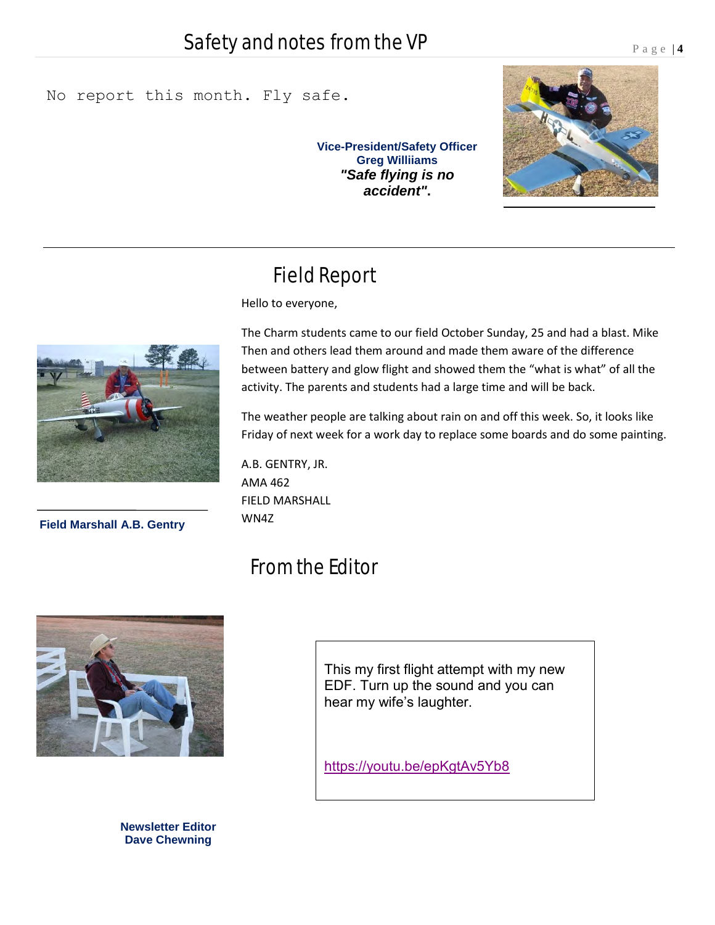### No report this month. Fly safe.

**Vice-President/Safety Officer Greg Williiams**  *"Safe flying is no accident"***.**



## Field Report

Hello to everyone,



**Field Marshall A.B. Gentry**

The Charm students came to our field October Sunday, 25 and had a blast. Mike Then and others lead them around and made them aware of the difference between battery and glow flight and showed them the "what is what" of all the activity. The parents and students had a large time and will be back.

The weather people are talking about rain on and off this week. So, it looks like Friday of next week for a work day to replace some boards and do some painting.

A.B. GENTRY, JR. AMA 462 FIELD MARSHALL WN4Z

## From the Editor



**Newsletter Editor Dave Chewning**

This my first flight attempt with my new EDF. Turn up the sound and you can hear my wife's laughter.

<https://youtu.be/epKgtAv5Yb8>